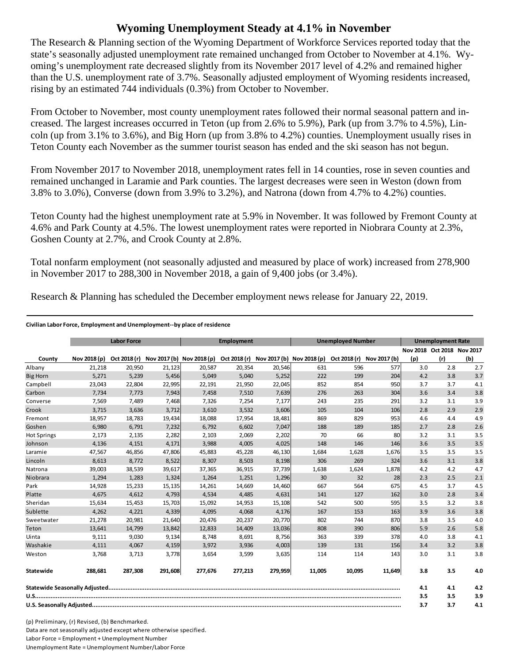## **Wyoming Unemployment Steady at 4.1% in November**

The Research & Planning section of the Wyoming Department of Workforce Services reported today that the state's seasonally adjusted unemployment rate remained unchanged from October to November at 4.1%. Wyoming's unemployment rate decreased slightly from its November 2017 level of 4.2% and remained higher than the U.S. unemployment rate of 3.7%. Seasonally adjusted employment of Wyoming residents increased, rising by an estimated 744 individuals (0.3%) from October to November.

From October to November, most county unemployment rates followed their normal seasonal pattern and increased. The largest increases occurred in Teton (up from 2.6% to 5.9%), Park (up from 3.7% to 4.5%), Lincoln (up from 3.1% to 3.6%), and Big Horn (up from 3.8% to 4.2%) counties. Unemployment usually rises in Teton County each November as the summer tourist season has ended and the ski season has not begun.

From November 2017 to November 2018, unemployment rates fell in 14 counties, rose in seven counties and remained unchanged in Laramie and Park counties. The largest decreases were seen in Weston (down from 3.8% to 3.0%), Converse (down from 3.9% to 3.2%), and Natrona (down from 4.7% to 4.2%) counties.

Teton County had the highest unemployment rate at 5.9% in November. It was followed by Fremont County at 4.6% and Park County at 4.5%. The lowest unemployment rates were reported in Niobrara County at 2.3%, Goshen County at 2.7%, and Crook County at 2.8%.

Total nonfarm employment (not seasonally adjusted and measured by place of work) increased from 278,900 in November 2017 to 288,300 in November 2018, a gain of 9,400 jobs (or 3.4%).

Research & Planning has scheduled the December employment news release for January 22, 2019.

## **Civilian Labor Force, Employment and Unemployment‐‐by place of residence**

|                    | <b>Labor Force</b> |         |         | <b>Employment</b>                      |              |         | <b>Unemployed Number</b>                            |        |        | <b>Unemployment Rate</b> |                            |     |
|--------------------|--------------------|---------|---------|----------------------------------------|--------------|---------|-----------------------------------------------------|--------|--------|--------------------------|----------------------------|-----|
|                    |                    |         |         |                                        |              |         |                                                     |        |        |                          | Nov 2018 Oct 2018 Nov 2017 |     |
| County             | Nov 2018 (p)       |         |         | Oct 2018 (r) Nov 2017 (b) Nov 2018 (p) | Oct 2018 (r) |         | Nov 2017 (b) Nov 2018 (p) Oct 2018 (r) Nov 2017 (b) |        |        | (p)                      | (r)                        | (b) |
| Albany             | 21,218             | 20,950  | 21,123  | 20,587                                 | 20,354       | 20,546  | 631                                                 | 596    | 577    | 3.0                      | 2.8                        | 2.7 |
| <b>Big Horn</b>    | 5,271              | 5,239   | 5,456   | 5,049                                  | 5,040        | 5,252   | 222                                                 | 199    | 204    | 4.2                      | 3.8                        | 3.7 |
| Campbell           | 23,043             | 22,804  | 22,995  | 22,191                                 | 21,950       | 22,045  | 852                                                 | 854    | 950    | 3.7                      | 3.7                        | 4.1 |
| Carbon             | 7,734              | 7,773   | 7,943   | 7,458                                  | 7,510        | 7,639   | 276                                                 | 263    | 304    | 3.6                      | 3.4                        | 3.8 |
| Converse           | 7,569              | 7,489   | 7,468   | 7,326                                  | 7,254        | 7,177   | 243                                                 | 235    | 291    | 3.2                      | 3.1                        | 3.9 |
| Crook              | 3,715              | 3,636   | 3,712   | 3,610                                  | 3,532        | 3,606   | 105                                                 | 104    | 106    | 2.8                      | 2.9                        | 2.9 |
| Fremont            | 18,957             | 18,783  | 19,434  | 18,088                                 | 17,954       | 18,481  | 869                                                 | 829    | 953    | 4.6                      | 4.4                        | 4.9 |
| Goshen             | 6,980              | 6,791   | 7,232   | 6,792                                  | 6,602        | 7,047   | 188                                                 | 189    | 185    | 2.7                      | 2.8                        | 2.6 |
| <b>Hot Springs</b> | 2,173              | 2,135   | 2,282   | 2,103                                  | 2,069        | 2,202   | 70                                                  | 66     | 80     | 3.2                      | 3.1                        | 3.5 |
| Johnson            | 4,136              | 4,151   | 4,171   | 3,988                                  | 4,005        | 4,025   | 148                                                 | 146    | 146    | 3.6                      | 3.5                        | 3.5 |
| Laramie            | 47,567             | 46,856  | 47,806  | 45,883                                 | 45,228       | 46,130  | 1,684                                               | 1,628  | 1,676  | 3.5                      | 3.5                        | 3.5 |
| Lincoln            | 8,613              | 8,772   | 8,522   | 8,307                                  | 8,503        | 8,198   | 306                                                 | 269    | 324    | 3.6                      | 3.1                        | 3.8 |
| Natrona            | 39,003             | 38,539  | 39,617  | 37,365                                 | 36,915       | 37,739  | 1,638                                               | 1,624  | 1,878  | 4.2                      | 4.2                        | 4.7 |
| Niobrara           | 1,294              | 1,283   | 1,324   | 1,264                                  | 1,251        | 1,296   | 30                                                  | 32     | 28     | 2.3                      | 2.5                        | 2.1 |
| Park               | 14,928             | 15,233  | 15,135  | 14,261                                 | 14,669       | 14,460  | 667                                                 | 564    | 675    | 4.5                      | 3.7                        | 4.5 |
| Platte             | 4,675              | 4,612   | 4,793   | 4,534                                  | 4,485        | 4,631   | 141                                                 | 127    | 162    | 3.0                      | 2.8                        | 3.4 |
| Sheridan           | 15,634             | 15,453  | 15,703  | 15,092                                 | 14,953       | 15,108  | 542                                                 | 500    | 595    | 3.5                      | 3.2                        | 3.8 |
| Sublette           | 4,262              | 4,221   | 4,339   | 4,095                                  | 4,068        | 4,176   | 167                                                 | 153    | 163    | 3.9                      | 3.6                        | 3.8 |
| Sweetwater         | 21,278             | 20,981  | 21,640  | 20,476                                 | 20,237       | 20,770  | 802                                                 | 744    | 870    | 3.8                      | 3.5                        | 4.0 |
| Teton              | 13,641             | 14,799  | 13,842  | 12,833                                 | 14,409       | 13,036  | 808                                                 | 390    | 806    | 5.9                      | 2.6                        | 5.8 |
| Uinta              | 9,111              | 9,030   | 9,134   | 8,748                                  | 8,691        | 8,756   | 363                                                 | 339    | 378    | 4.0                      | 3.8                        | 4.1 |
| Washakie           | 4,111              | 4,067   | 4,159   | 3,972                                  | 3,936        | 4,003   | 139                                                 | 131    | 156    | 3.4                      | 3.2                        | 3.8 |
| Weston             | 3.768              | 3.713   | 3,778   | 3,654                                  | 3,599        | 3,635   | 114                                                 | 114    | 143    | 3.0                      | 3.1                        | 3.8 |
| Statewide          | 288,681            | 287,308 | 291,608 | 277,676                                | 277,213      | 279,959 | 11,005                                              | 10,095 | 11,649 | 3.8                      | 3.5                        | 4.0 |
|                    |                    |         |         |                                        |              |         |                                                     | 4.1    | 4.1    | 4.2                      |                            |     |
|                    |                    |         |         |                                        |              |         |                                                     | 3.5    | 3.5    | 3.9                      |                            |     |
|                    |                    |         |         |                                        |              |         |                                                     |        | 3.7    | 3.7                      | 4.1                        |     |

(p) Preliminary, (r) Revised, (b) Benchmarked. Data are not seasonally adjusted except where otherwise specified. Labor Force = Employment + Unemployment Number Unemployment Rate = Unemployment Number/Labor Force